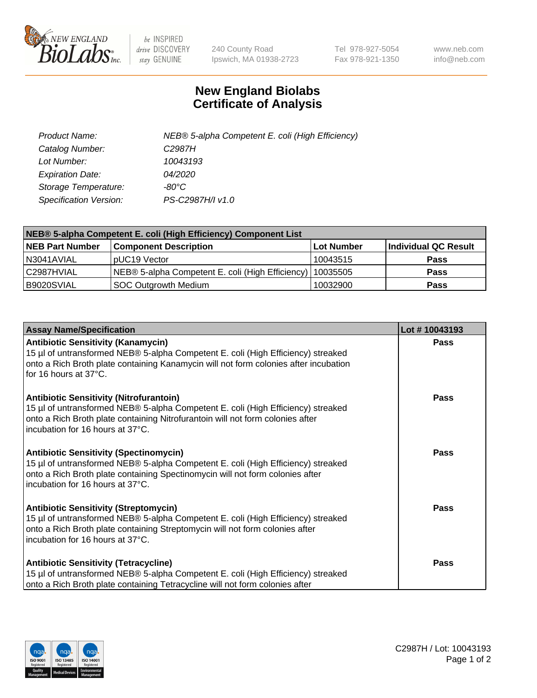

 $be$  INSPIRED drive DISCOVERY stay GENUINE

240 County Road Ipswich, MA 01938-2723 Tel 978-927-5054 Fax 978-921-1350 www.neb.com info@neb.com

## **New England Biolabs Certificate of Analysis**

| Product Name:           | NEB® 5-alpha Competent E. coli (High Efficiency) |
|-------------------------|--------------------------------------------------|
| Catalog Number:         | C <sub>2987</sub> H                              |
| Lot Number:             | 10043193                                         |
| <b>Expiration Date:</b> | 04/2020                                          |
| Storage Temperature:    | -80°C                                            |
| Specification Version:  | PS-C2987H/I v1.0                                 |

| NEB® 5-alpha Competent E. coli (High Efficiency) Component List |                                                  |            |                      |  |
|-----------------------------------------------------------------|--------------------------------------------------|------------|----------------------|--|
| <b>NEB Part Number</b>                                          | <b>Component Description</b>                     | Lot Number | Individual QC Result |  |
| N3041AVIAL                                                      | pUC19 Vector                                     | 10043515   | <b>Pass</b>          |  |
| C2987HVIAL                                                      | NEB® 5-alpha Competent E. coli (High Efficiency) | 10035505   | <b>Pass</b>          |  |
| B9020SVIAL                                                      | <b>SOC Outgrowth Medium</b>                      | 10032900   | <b>Pass</b>          |  |

| <b>Assay Name/Specification</b>                                                                                                                                                                                                                          | Lot #10043193 |
|----------------------------------------------------------------------------------------------------------------------------------------------------------------------------------------------------------------------------------------------------------|---------------|
| <b>Antibiotic Sensitivity (Kanamycin)</b><br>15 µl of untransformed NEB® 5-alpha Competent E. coli (High Efficiency) streaked<br>onto a Rich Broth plate containing Kanamycin will not form colonies after incubation<br>for 16 hours at 37°C.           | <b>Pass</b>   |
| <b>Antibiotic Sensitivity (Nitrofurantoin)</b><br>15 µl of untransformed NEB® 5-alpha Competent E. coli (High Efficiency) streaked<br>onto a Rich Broth plate containing Nitrofurantoin will not form colonies after<br>incubation for 16 hours at 37°C. | Pass          |
| <b>Antibiotic Sensitivity (Spectinomycin)</b><br>15 µl of untransformed NEB® 5-alpha Competent E. coli (High Efficiency) streaked<br>onto a Rich Broth plate containing Spectinomycin will not form colonies after<br>incubation for 16 hours at 37°C.   | Pass          |
| <b>Antibiotic Sensitivity (Streptomycin)</b><br>15 µl of untransformed NEB® 5-alpha Competent E. coli (High Efficiency) streaked<br>onto a Rich Broth plate containing Streptomycin will not form colonies after<br>incubation for 16 hours at 37°C.     | <b>Pass</b>   |
| <b>Antibiotic Sensitivity (Tetracycline)</b><br>15 µl of untransformed NEB® 5-alpha Competent E. coli (High Efficiency) streaked<br>onto a Rich Broth plate containing Tetracycline will not form colonies after                                         | Pass          |